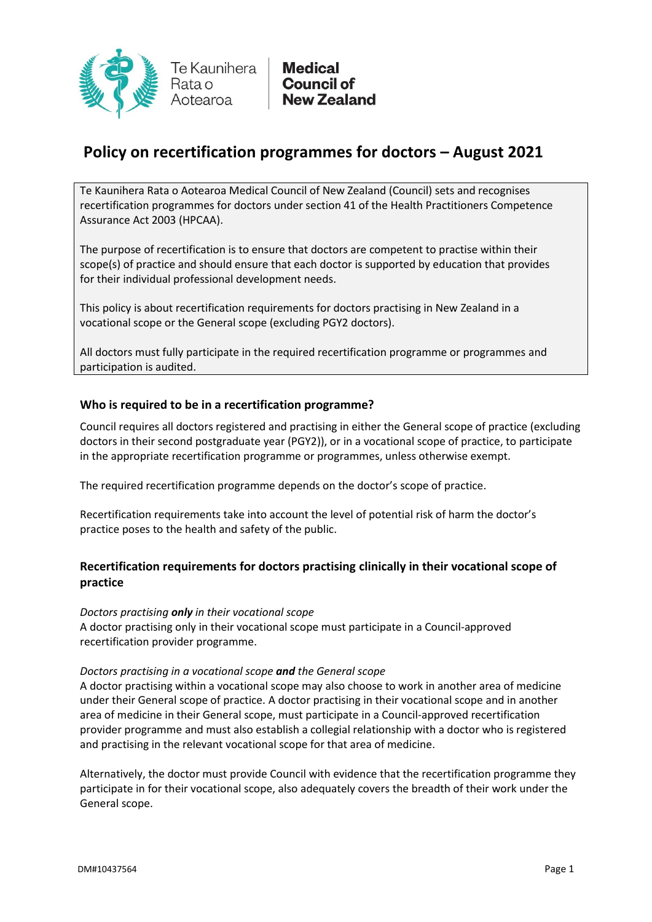

# **Policy on recertification programmes for doctors – August 2021**

Te Kaunihera Rata o Aotearoa Medical Council of New Zealand (Council) sets and recognises recertification programmes for doctors under section 41 of the Health Practitioners Competence Assurance Act 2003 (HPCAA).

The purpose of recertification is to ensure that doctors are competent to practise within their scope(s) of practice and should ensure that each doctor is supported by education that provides for their individual professional development needs.

This policy is about recertification requirements for doctors practising in New Zealand in a vocational scope or the General scope (excluding PGY2 doctors).

All doctors must fully participate in the required recertification programme or programmes and participation is audited.

## **Who is required to be in a recertification programme?**

Council requires all doctors registered and practising in either the General scope of practice (excluding doctors in their second postgraduate year (PGY2)), or in a vocational scope of practice, to participate in the appropriate recertification programme or programmes, unless otherwise exempt.

The required recertification programme depends on the doctor's scope of practice.

Recertification requirements take into account the level of potential risk of harm the doctor's practice poses to the health and safety of the public.

# **Recertification requirements for doctors practising clinically in their vocational scope of practice**

#### *Doctors practising only in their vocational scope*

A doctor practising only in their vocational scope must participate in a Council-approved recertification provider programme.

#### *Doctors practising in a vocational scope and the General scope*

A doctor practising within a vocational scope may also choose to work in another area of medicine under their General scope of practice. A doctor practising in their vocational scope and in another area of medicine in their General scope, must participate in a Council-approved recertification provider programme and must also establish a collegial relationship with a doctor who is registered and practising in the relevant vocational scope for that area of medicine.

Alternatively, the doctor must provide Council with evidence that the recertification programme they participate in for their vocational scope, also adequately covers the breadth of their work under the General scope.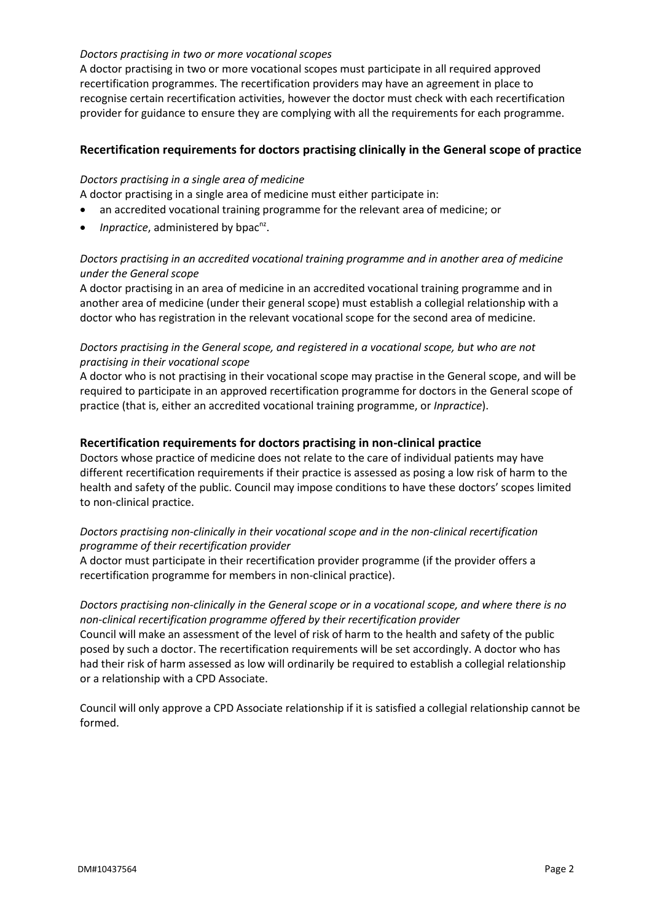#### *Doctors practising in two or more vocational scopes*

A doctor practising in two or more vocational scopes must participate in all required approved recertification programmes. The recertification providers may have an agreement in place to recognise certain recertification activities, however the doctor must check with each recertification provider for guidance to ensure they are complying with all the requirements for each programme.

## **Recertification requirements for doctors practising clinically in the General scope of practice**

#### *Doctors practising in a single area of medicine*

A doctor practising in a single area of medicine must either participate in:

- an accredited vocational training programme for the relevant area of medicine; or
- *Inpractice*, administered by bpac<sup>nz</sup>.

## *Doctors practising in an accredited vocational training programme and in another area of medicine under the General scope*

A doctor practising in an area of medicine in an accredited vocational training programme and in another area of medicine (under their general scope) must establish a collegial relationship with a doctor who has registration in the relevant vocational scope for the second area of medicine.

## *Doctors practising in the General scope, and registered in a vocational scope, but who are not practising in their vocational scope*

A doctor who is not practising in their vocational scope may practise in the General scope, and will be required to participate in an approved recertification programme for doctors in the General scope of practice (that is, either an accredited vocational training programme, or *Inpractice*).

#### **Recertification requirements for doctors practising in non-clinical practice**

Doctors whose practice of medicine does not relate to the care of individual patients may have different recertification requirements if their practice is assessed as posing a low risk of harm to the health and safety of the public. Council may impose conditions to have these doctors' scopes limited to non-clinical practice.

## *Doctors practising non-clinically in their vocational scope and in the non-clinical recertification programme of their recertification provider*

A doctor must participate in their recertification provider programme (if the provider offers a recertification programme for members in non-clinical practice).

## *Doctors practising non-clinically in the General scope or in a vocational scope, and where there is no non-clinical recertification programme offered by their recertification provider*

Council will make an assessment of the level of risk of harm to the health and safety of the public posed by such a doctor. The recertification requirements will be set accordingly. A doctor who has had their risk of harm assessed as low will ordinarily be required to establish a collegial relationship or a relationship with a CPD Associate.

Council will only approve a CPD Associate relationship if it is satisfied a collegial relationship cannot be formed.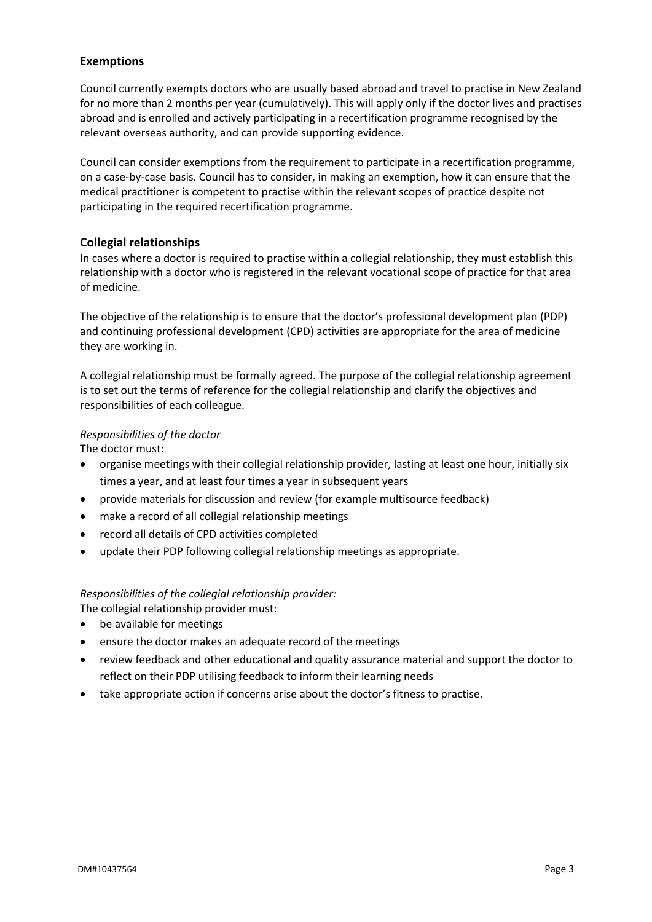## **Exemptions**

Council currently exempts doctors who are usually based abroad and travel to practise in New Zealand for no more than 2 months per year (cumulatively). This will apply only if the doctor lives and practises abroad and is enrolled and actively participating in a recertification programme recognised by the relevant overseas authority, and can provide supporting evidence.

Council can consider exemptions from the requirement to participate in a recertification programme, on a case-by-case basis. Council has to consider, in making an exemption, how it can ensure that the medical practitioner is competent to practise within the relevant scopes of practice despite not participating in the required recertification programme.

## **Collegial relationships**

In cases where a doctor is required to practise within a collegial relationship, they must establish this relationship with a doctor who is registered in the relevant vocational scope of practice for that area of medicine.

The objective of the relationship is to ensure that the doctor's professional development plan (PDP) and continuing professional development (CPD) activities are appropriate for the area of medicine they are working in.

A collegial relationship must be formally agreed. The purpose of the collegial relationship agreement is to set out the terms of reference for the collegial relationship and clarify the objectives and responsibilities of each colleague.

## *Responsibilities of the doctor*

The doctor must:

- organise meetings with their collegial relationship provider, lasting at least one hour, initially six times a year, and at least four times a year in subsequent years
- provide materials for discussion and review (for example multisource feedback)
- make a record of all collegial relationship meetings
- record all details of CPD activities completed
- update their PDP following collegial relationship meetings as appropriate.

#### *Responsibilities of the collegial relationship provider:*

The collegial relationship provider must:

- be available for meetings
- ensure the doctor makes an adequate record of the meetings
- review feedback and other educational and quality assurance material and support the doctor to reflect on their PDP utilising feedback to inform their learning needs
- take appropriate action if concerns arise about the doctor's fitness to practise.